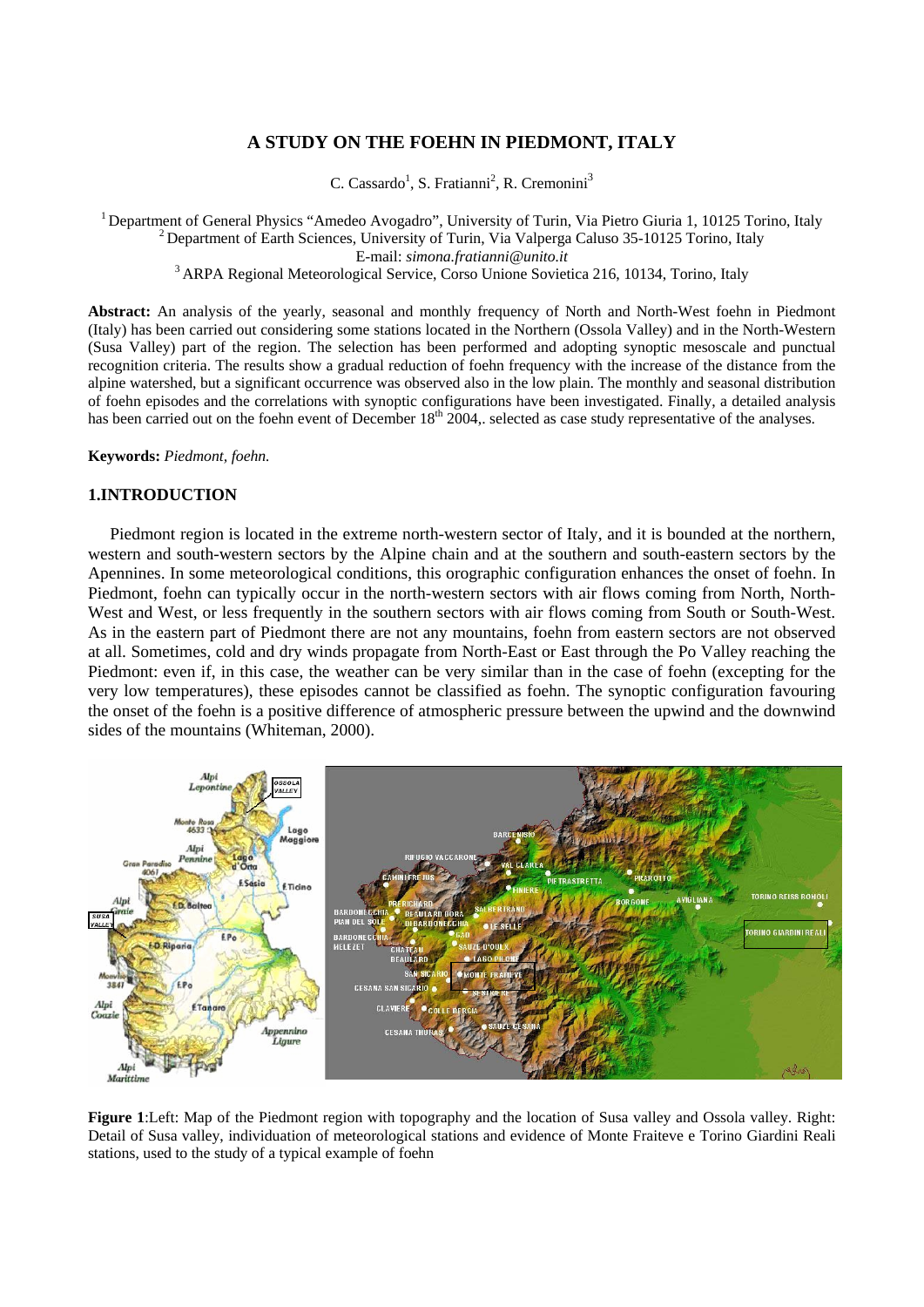# **A STUDY ON THE FOEHN IN PIEDMONT, ITALY**

C. Cassardo<sup>1</sup>, S. Fratianni<sup>2</sup>, R. Cremonini<sup>3</sup>

<sup>1</sup> Department of General Physics "Amedeo Avogadro", University of Turin, Via Pietro Giuria 1, 10125 Torino, Italy  $^{2}$  Department of Earth Sciences, University of Turin, Via Valperga Caluso 35-10125 Torino, Italy E-mail: *simona.fratianni@unito.it* 3 ARPA Regional Meteorological Service, Corso Unione Sovietica 216, 10134, Torino, Italy

**Abstract:** An analysis of the yearly, seasonal and monthly frequency of North and North-West foehn in Piedmont (Italy) has been carried out considering some stations located in the Northern (Ossola Valley) and in the North-Western (Susa Valley) part of the region. The selection has been performed and adopting synoptic mesoscale and punctual recognition criteria. The results show a gradual reduction of foehn frequency with the increase of the distance from the alpine watershed, but a significant occurrence was observed also in the low plain. The monthly and seasonal distribution of foehn episodes and the correlations with synoptic configurations have been investigated. Finally, a detailed analysis has been carried out on the foehn event of December 18<sup>th</sup> 2004, selected as case study representative of the analyses.

**Keywords:** *Piedmont, foehn.*

## **1.INTRODUCTION**

Piedmont region is located in the extreme north-western sector of Italy, and it is bounded at the northern, western and south-western sectors by the Alpine chain and at the southern and south-eastern sectors by the Apennines. In some meteorological conditions, this orographic configuration enhances the onset of foehn. In Piedmont, foehn can typically occur in the north-western sectors with air flows coming from North, North-West and West, or less frequently in the southern sectors with air flows coming from South or South-West. As in the eastern part of Piedmont there are not any mountains, foehn from eastern sectors are not observed at all. Sometimes, cold and dry winds propagate from North-East or East through the Po Valley reaching the Piedmont: even if, in this case, the weather can be very similar than in the case of foehn (excepting for the very low temperatures), these episodes cannot be classified as foehn. The synoptic configuration favouring the onset of the foehn is a positive difference of atmospheric pressure between the upwind and the downwind sides of the mountains (Whiteman, 2000).



**Figure 1**:Left: Map of the Piedmont region with topography and the location of Susa valley and Ossola valley. Right: Detail of Susa valley, individuation of meteorological stations and evidence of Monte Fraiteve e Torino Giardini Reali stations, used to the study of a typical example of foehn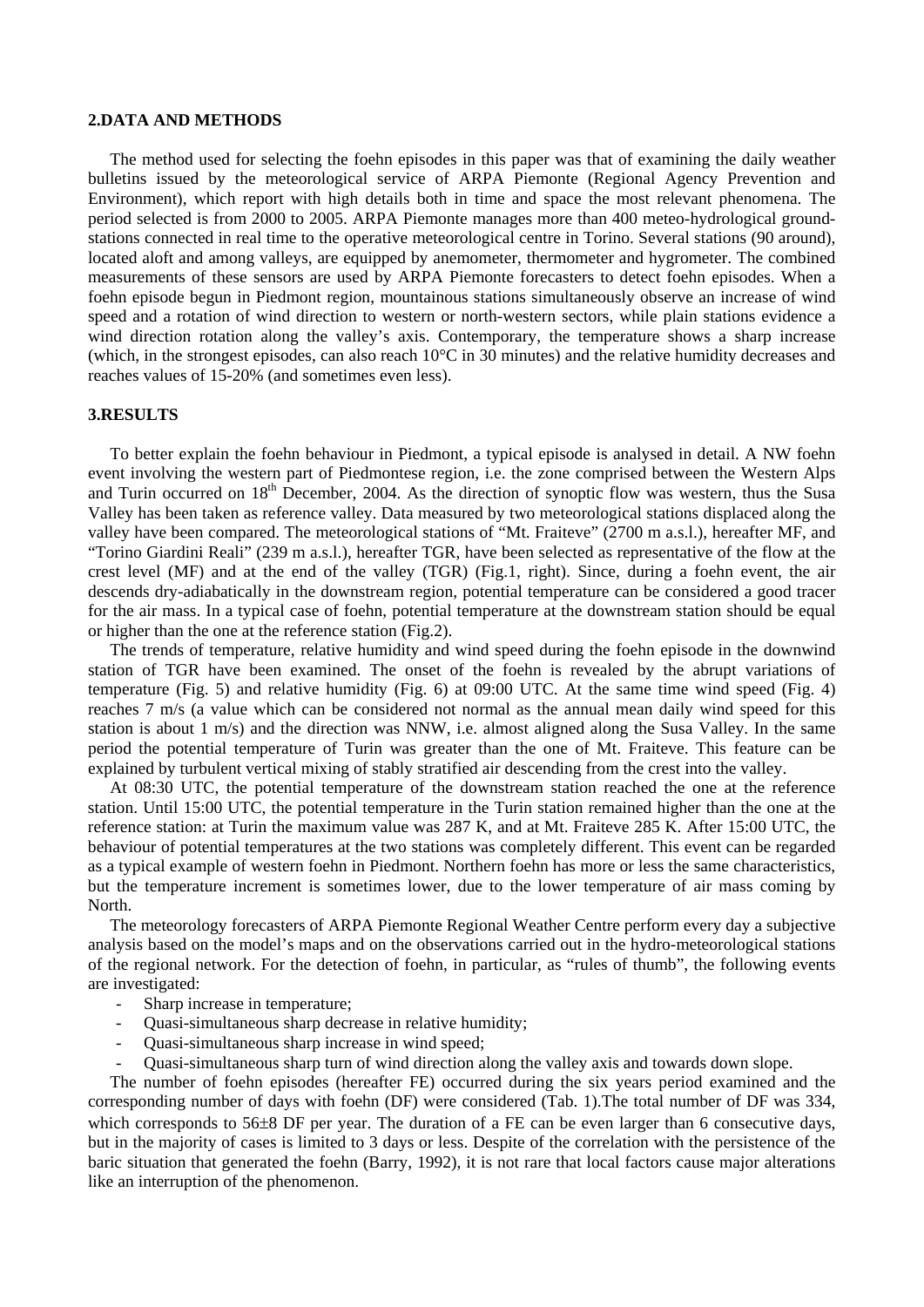#### **2.DATA AND METHODS**

The method used for selecting the foehn episodes in this paper was that of examining the daily weather bulletins issued by the meteorological service of ARPA Piemonte (Regional Agency Prevention and Environment), which report with high details both in time and space the most relevant phenomena. The period selected is from 2000 to 2005. ARPA Piemonte manages more than 400 meteo-hydrological groundstations connected in real time to the operative meteorological centre in Torino. Several stations (90 around), located aloft and among valleys, are equipped by anemometer, thermometer and hygrometer. The combined measurements of these sensors are used by ARPA Piemonte forecasters to detect foehn episodes. When a foehn episode begun in Piedmont region, mountainous stations simultaneously observe an increase of wind speed and a rotation of wind direction to western or north-western sectors, while plain stations evidence a wind direction rotation along the valley's axis. Contemporary, the temperature shows a sharp increase (which, in the strongest episodes, can also reach 10°C in 30 minutes) and the relative humidity decreases and reaches values of 15-20% (and sometimes even less).

#### **3.RESULTS**

To better explain the foehn behaviour in Piedmont, a typical episode is analysed in detail. A NW foehn event involving the western part of Piedmontese region, i.e. the zone comprised between the Western Alps and Turin occurred on 18<sup>th</sup> December, 2004. As the direction of synoptic flow was western, thus the Susa Valley has been taken as reference valley. Data measured by two meteorological stations displaced along the valley have been compared. The meteorological stations of "Mt. Fraiteve" (2700 m a.s.l.), hereafter MF, and "Torino Giardini Reali" (239 m a.s.l.), hereafter TGR, have been selected as representative of the flow at the crest level (MF) and at the end of the valley (TGR) (Fig.1, right). Since, during a foehn event, the air descends dry-adiabatically in the downstream region, potential temperature can be considered a good tracer for the air mass. In a typical case of foehn, potential temperature at the downstream station should be equal or higher than the one at the reference station (Fig.2).

The trends of temperature, relative humidity and wind speed during the foehn episode in the downwind station of TGR have been examined. The onset of the foehn is revealed by the abrupt variations of temperature (Fig. 5) and relative humidity (Fig. 6) at 09:00 UTC. At the same time wind speed (Fig. 4) reaches 7 m/s (a value which can be considered not normal as the annual mean daily wind speed for this station is about 1 m/s) and the direction was NNW, i.e. almost aligned along the Susa Valley. In the same period the potential temperature of Turin was greater than the one of Mt. Fraiteve. This feature can be explained by turbulent vertical mixing of stably stratified air descending from the crest into the valley.

At 08:30 UTC, the potential temperature of the downstream station reached the one at the reference station. Until 15:00 UTC, the potential temperature in the Turin station remained higher than the one at the reference station: at Turin the maximum value was 287 K, and at Mt. Fraiteve 285 K. After 15:00 UTC, the behaviour of potential temperatures at the two stations was completely different. This event can be regarded as a typical example of western foehn in Piedmont. Northern foehn has more or less the same characteristics, but the temperature increment is sometimes lower, due to the lower temperature of air mass coming by North.

The meteorology forecasters of ARPA Piemonte Regional Weather Centre perform every day a subjective analysis based on the model's maps and on the observations carried out in the hydro-meteorological stations of the regional network. For the detection of foehn, in particular, as "rules of thumb", the following events are investigated:

- Sharp increase in temperature;
- Quasi-simultaneous sharp decrease in relative humidity;
- Quasi-simultaneous sharp increase in wind speed;
- Quasi-simultaneous sharp turn of wind direction along the valley axis and towards down slope.

The number of foehn episodes (hereafter FE) occurred during the six years period examined and the corresponding number of days with foehn (DF) were considered (Tab. 1).The total number of DF was 334, which corresponds to 56 $\pm$ 8 DF per year. The duration of a FE can be even larger than 6 consecutive days, but in the majority of cases is limited to 3 days or less. Despite of the correlation with the persistence of the baric situation that generated the foehn (Barry, 1992), it is not rare that local factors cause major alterations like an interruption of the phenomenon.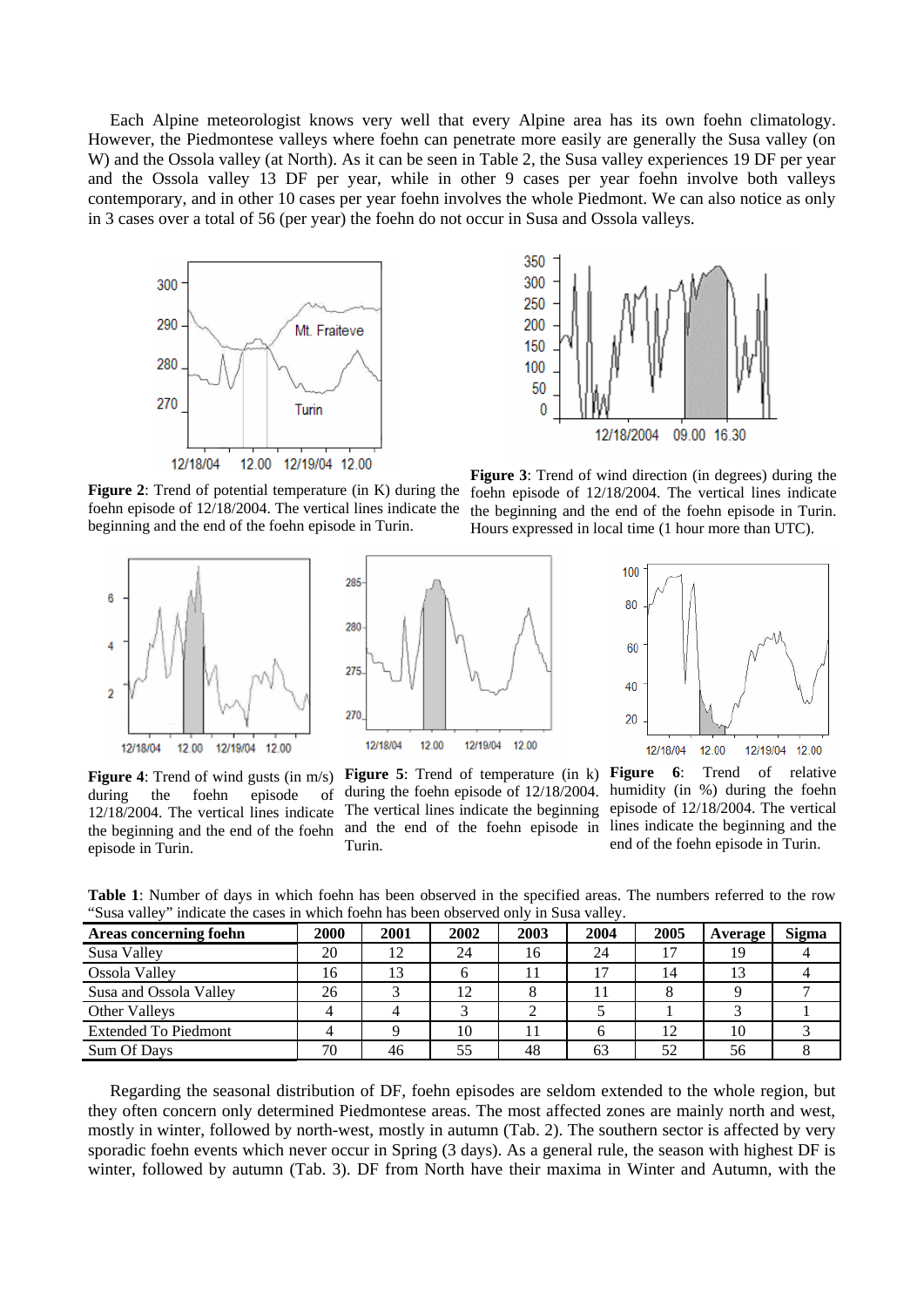Each Alpine meteorologist knows very well that every Alpine area has its own foehn climatology. However, the Piedmontese valleys where foehn can penetrate more easily are generally the Susa valley (on W) and the Ossola valley (at North). As it can be seen in Table 2, the Susa valley experiences 19 DF per year and the Ossola valley 13 DF per year, while in other 9 cases per year foehn involve both valleys contemporary, and in other 10 cases per year foehn involves the whole Piedmont. We can also notice as only in 3 cases over a total of 56 (per year) the foehn do not occur in Susa and Ossola valleys.



**Figure 2**: Trend of potential temperature (in K) during the foehn episode of 12/18/2004. The vertical lines indicate the beginning and the end of the foehn episode in Turin.



**Figure 4**: Trend of wind gusts (in m/s) during the foehn episode of 12/18/2004. The vertical lines indicate the beginning and the end of the foehn episode in Turin.



during the foehn episode of 12/18/2004. The vertical lines indicate the beginning and the end of the foehn episode in Turin.



**Figure 3**: Trend of wind direction (in degrees) during the foehn episode of 12/18/2004. The vertical lines indicate the beginning and the end of the foehn episode in Turin. Hours expressed in local time (1 hour more than UTC).



**Figure 5**: Trend of temperature (in k) **Figure 6**: Trend of relative humidity (in %) during the foehn episode of 12/18/2004. The vertical lines indicate the beginning and the end of the foehn episode in Turin.

**Table 1**: Number of days in which foehn has been observed in the specified areas. The numbers referred to the row "Susa valley" indicate the cases in which foehn has been observed only in Susa valley.

| $5000 + 0000$<br>111010000 0110 00000 111 11111011 1001111 1100 00011 00001 1 000 0111 1 111 10000 1 01110 1 |      |      |      |      |      |      |         |              |  |  |  |  |
|--------------------------------------------------------------------------------------------------------------|------|------|------|------|------|------|---------|--------------|--|--|--|--|
| Areas concerning foehn                                                                                       | 2000 | 2001 | 2002 | 2003 | 2004 | 2005 | Average | <b>Sigma</b> |  |  |  |  |
| Susa Valley                                                                                                  | 20   | 12   | 24   | 16   | 24   |      | 19      |              |  |  |  |  |
| Ossola Valley                                                                                                | 16   | 13   |      |      |      | 14   |         |              |  |  |  |  |
| Susa and Ossola Valley                                                                                       | 26   |      | 12   |      |      |      |         |              |  |  |  |  |
| Other Valleys                                                                                                |      |      |      |      |      |      |         |              |  |  |  |  |
| <b>Extended To Piedmont</b>                                                                                  |      |      | 10   |      |      | 12   | 10      |              |  |  |  |  |
| Sum Of Days                                                                                                  | 70   | 46   | 55   | 48   | 63   | 52   | 56      |              |  |  |  |  |

Regarding the seasonal distribution of DF, foehn episodes are seldom extended to the whole region, but they often concern only determined Piedmontese areas. The most affected zones are mainly north and west, mostly in winter, followed by north-west, mostly in autumn (Tab. 2). The southern sector is affected by very sporadic foehn events which never occur in Spring (3 days). As a general rule, the season with highest DF is winter, followed by autumn (Tab. 3). DF from North have their maxima in Winter and Autumn, with the